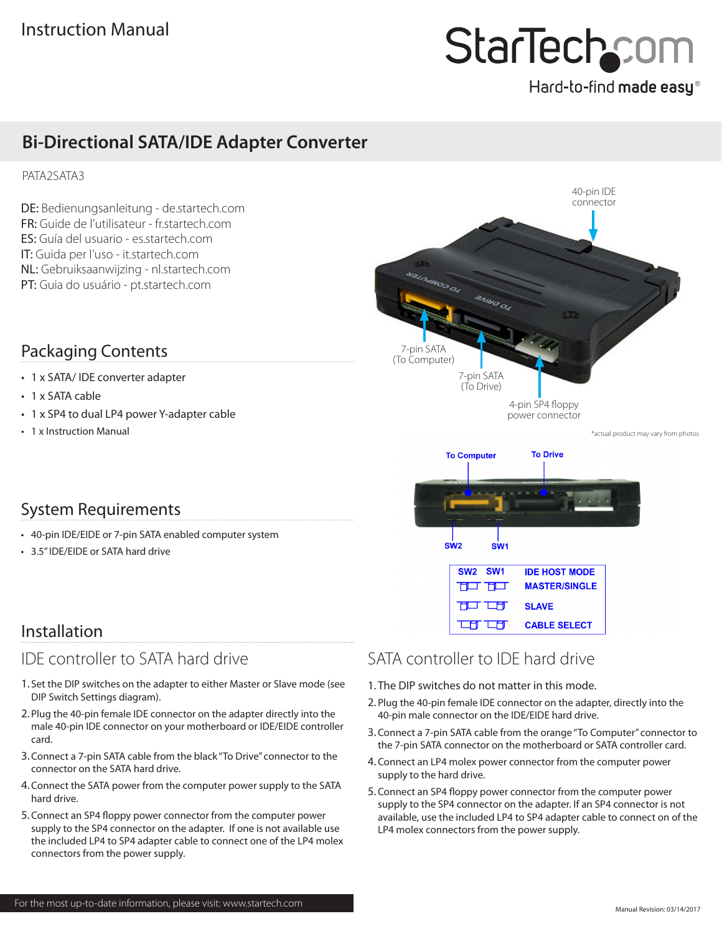# StarTechcor

## Hard-to-find made easy®

## **Bi-Directional SATA/IDE Adapter Converter**

### PATA2SATA3

DE: Bedienungsanleitung - de.startech.com FR: Guide de l'utilisateur - fr.startech.com ES: Guía del usuario - es.startech.com IT: Guida per l'uso - it.startech.com NL: Gebruiksaanwijzing - nl.startech.com PT: Guia do usuário - pt.startech.com

## Packaging Contents

- 1 x SATA/ IDE converter adapter
- 1 x SATA cable
- 1 x SP4 to dual LP4 power Y-adapter cable
- 1 x Instruction Manual





### System Requirements

- 40-pin IDE/EIDE or 7-pin SATA enabled computer system
- 3.5" IDE/EIDE or SATA hard drive

## Installation

## IDE controller to SATA hard drive

- 1. Set the DIP switches on the adapter to either Master or Slave mode (see DIP Switch Settings diagram).
- 2. Plug the 40-pin female IDE connector on the adapter directly into the male 40-pin IDE connector on your motherboard or IDE/EIDE controller card.
- 3.Connect a 7-pin SATA cable from the black "To Drive" connector to the connector on the SATA hard drive.
- 4.Connect the SATA power from the computer power supply to the SATA hard drive.
- 5.Connect an SP4 floppy power connector from the computer power supply to the SP4 connector on the adapter. If one is not available use the included LP4 to SP4 adapter cable to connect one of the LP4 molex connectors from the power supply.

## SATA controller to IDE hard drive

- 1. The DIP switches do not matter in this mode.
- 2. Plug the 40-pin female IDE connector on the adapter, directly into the 40-pin male connector on the IDE/EIDE hard drive.
- 3.Connect a 7-pin SATA cable from the orange "To Computer" connector to the 7-pin SATA connector on the motherboard or SATA controller card.
- 4.Connect an LP4 molex power connector from the computer power supply to the hard drive.
- 5.Connect an SP4 floppy power connector from the computer power supply to the SP4 connector on the adapter. If an SP4 connector is not available, use the included LP4 to SP4 adapter cable to connect on of the LP4 molex connectors from the power supply.